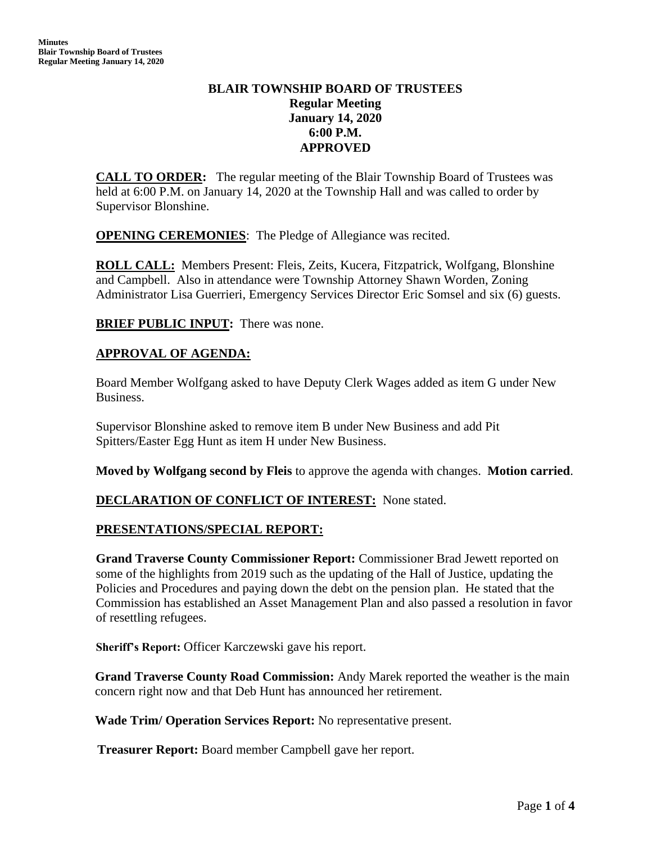# **BLAIR TOWNSHIP BOARD OF TRUSTEES Regular Meeting January 14, 2020 6:00 P.M. APPROVED**

**CALL TO ORDER:** The regular meeting of the Blair Township Board of Trustees was held at 6:00 P.M. on January 14, 2020 at the Township Hall and was called to order by Supervisor Blonshine.

**OPENING CEREMONIES**: The Pledge of Allegiance was recited.

**ROLL CALL:** Members Present: Fleis, Zeits, Kucera, Fitzpatrick, Wolfgang, Blonshine and Campbell. Also in attendance were Township Attorney Shawn Worden, Zoning Administrator Lisa Guerrieri, Emergency Services Director Eric Somsel and six (6) guests.

**BRIEF PUBLIC INPUT:** There was none.

# **APPROVAL OF AGENDA:**

Board Member Wolfgang asked to have Deputy Clerk Wages added as item G under New Business.

Supervisor Blonshine asked to remove item B under New Business and add Pit Spitters/Easter Egg Hunt as item H under New Business.

**Moved by Wolfgang second by Fleis** to approve the agenda with changes. **Motion carried**.

# **DECLARATION OF CONFLICT OF INTEREST:** None stated.

## **PRESENTATIONS/SPECIAL REPORT:**

**Grand Traverse County Commissioner Report:** Commissioner Brad Jewett reported on some of the highlights from 2019 such as the updating of the Hall of Justice, updating the Policies and Procedures and paying down the debt on the pension plan. He stated that the Commission has established an Asset Management Plan and also passed a resolution in favor of resettling refugees.

**Sheriff's Report:** Officer Karczewski gave his report.

**Grand Traverse County Road Commission:** Andy Marek reported the weather is the main concern right now and that Deb Hunt has announced her retirement.

**Wade Trim/ Operation Services Report:** No representative present.

 **Treasurer Report:** Board member Campbell gave her report.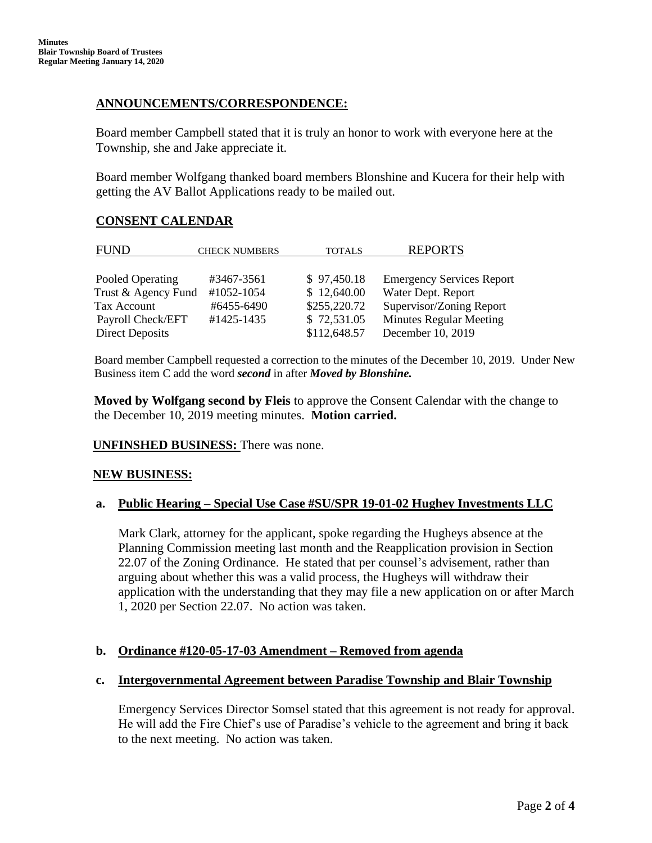## **ANNOUNCEMENTS/CORRESPONDENCE:**

Board member Campbell stated that it is truly an honor to work with everyone here at the Township, she and Jake appreciate it.

Board member Wolfgang thanked board members Blonshine and Kucera for their help with getting the AV Ballot Applications ready to be mailed out.

## **CONSENT CALENDAR**

| <b>CHECK NUMBERS</b> | <b>TOTALS</b>                            | <b>REPORTS</b>                   |
|----------------------|------------------------------------------|----------------------------------|
|                      |                                          |                                  |
| #3467-3561           | \$97,450.18                              | <b>Emergency Services Report</b> |
| #1052-1054           | \$12,640.00                              | Water Dept. Report               |
| #6455-6490           | \$255,220.72                             | Supervisor/Zoning Report         |
| #1425-1435           | \$72,531.05                              | <b>Minutes Regular Meeting</b>   |
|                      | \$112,648.57                             | December 10, 2019                |
|                      | Trust & Agency Fund<br>Payroll Check/EFT |                                  |

Board member Campbell requested a correction to the minutes of the December 10, 2019. Under New Business item C add the word *second* in after *Moved by Blonshine.*

**Moved by Wolfgang second by Fleis** to approve the Consent Calendar with the change to the December 10, 2019 meeting minutes. **Motion carried.**

**UNFINSHED BUSINESS:** There was none.

## **NEW BUSINESS:**

## **a. Public Hearing – Special Use Case #SU/SPR 19-01-02 Hughey Investments LLC**

Mark Clark, attorney for the applicant, spoke regarding the Hugheys absence at the Planning Commission meeting last month and the Reapplication provision in Section 22.07 of the Zoning Ordinance. He stated that per counsel's advisement, rather than arguing about whether this was a valid process, the Hugheys will withdraw their application with the understanding that they may file a new application on or after March 1, 2020 per Section 22.07. No action was taken.

## **b. Ordinance #120-05-17-03 Amendment – Removed from agenda**

#### **c. Intergovernmental Agreement between Paradise Township and Blair Township**

Emergency Services Director Somsel stated that this agreement is not ready for approval. He will add the Fire Chief's use of Paradise's vehicle to the agreement and bring it back to the next meeting. No action was taken.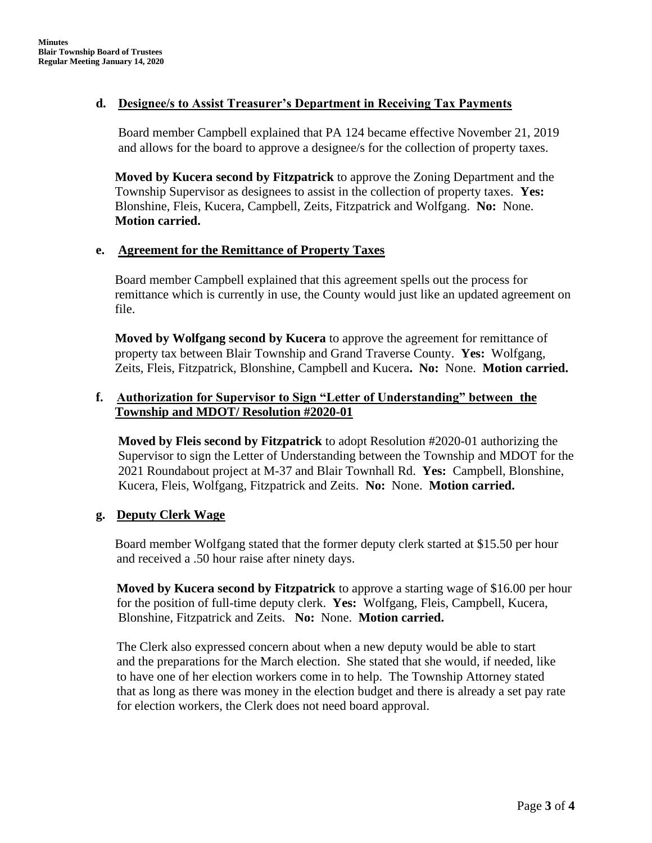#### **d. Designee/s to Assist Treasurer's Department in Receiving Tax Payments**

Board member Campbell explained that PA 124 became effective November 21, 2019 and allows for the board to approve a designee/s for the collection of property taxes.

**Moved by Kucera second by Fitzpatrick** to approve the Zoning Department and the Township Supervisor as designees to assist in the collection of property taxes. **Yes:**  Blonshine, Fleis, Kucera, Campbell, Zeits, Fitzpatrick and Wolfgang. **No:** None. **Motion carried.**

#### **e. Agreement for the Remittance of Property Taxes**

Board member Campbell explained that this agreement spells out the process for remittance which is currently in use, the County would just like an updated agreement on file.

**Moved by Wolfgang second by Kucera** to approve the agreement for remittance of property tax between Blair Township and Grand Traverse County. **Yes:** Wolfgang, Zeits, Fleis, Fitzpatrick, Blonshine, Campbell and Kucera**. No:** None. **Motion carried.**

## **f. Authorization for Supervisor to Sign "Letter of Understanding" between the Township and MDOT/ Resolution #2020-01**

**Moved by Fleis second by Fitzpatrick** to adopt Resolution #2020-01 authorizing the Supervisor to sign the Letter of Understanding between the Township and MDOT for the 2021 Roundabout project at M-37 and Blair Townhall Rd. **Yes:** Campbell, Blonshine, Kucera, Fleis, Wolfgang, Fitzpatrick and Zeits. **No:** None. **Motion carried.**

## **g. Deputy Clerk Wage**

 Board member Wolfgang stated that the former deputy clerk started at \$15.50 per hour and received a .50 hour raise after ninety days.

 **Moved by Kucera second by Fitzpatrick** to approve a starting wage of \$16.00 per hour for the position of full-time deputy clerk. **Yes:** Wolfgang, Fleis, Campbell, Kucera, Blonshine, Fitzpatrick and Zeits. **No:** None. **Motion carried.**

 The Clerk also expressed concern about when a new deputy would be able to start and the preparations for the March election. She stated that she would, if needed, like to have one of her election workers come in to help. The Township Attorney stated that as long as there was money in the election budget and there is already a set pay rate for election workers, the Clerk does not need board approval.